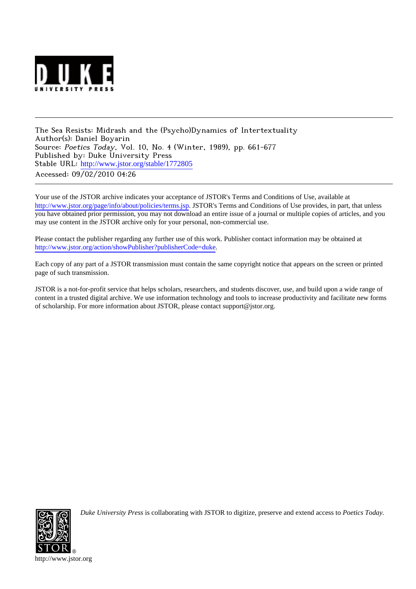

The Sea Resists: Midrash and the (Psycho)Dynamics of Intertextuality Author(s): Daniel Boyarin Source: Poetics Today, Vol. 10, No. 4 (Winter, 1989), pp. 661-677 Published by: Duke University Press Stable URL: [http://www.jstor.org/stable/1772805](http://www.jstor.org/stable/1772805?origin=JSTOR-pdf) Accessed: 09/02/2010 04:26

Your use of the JSTOR archive indicates your acceptance of JSTOR's Terms and Conditions of Use, available at <http://www.jstor.org/page/info/about/policies/terms.jsp>. JSTOR's Terms and Conditions of Use provides, in part, that unless you have obtained prior permission, you may not download an entire issue of a journal or multiple copies of articles, and you may use content in the JSTOR archive only for your personal, non-commercial use.

Please contact the publisher regarding any further use of this work. Publisher contact information may be obtained at <http://www.jstor.org/action/showPublisher?publisherCode=duke>.

Each copy of any part of a JSTOR transmission must contain the same copyright notice that appears on the screen or printed page of such transmission.

JSTOR is a not-for-profit service that helps scholars, researchers, and students discover, use, and build upon a wide range of content in a trusted digital archive. We use information technology and tools to increase productivity and facilitate new forms of scholarship. For more information about JSTOR, please contact support@jstor.org.



*Duke University Press* is collaborating with JSTOR to digitize, preserve and extend access to *Poetics Today.*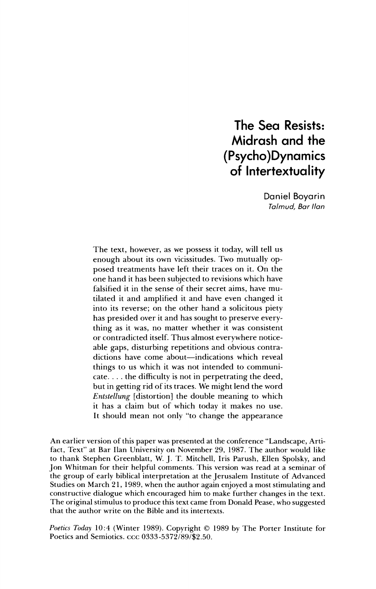## **The Sea Resists: Midrash and the (Psycho)Dynamics of Intertextuality**

**Daniel Boyarin Talmud, Bar Ilan** 

**The text, however, as we possess it today, will tell us enough about its own vicissitudes. Two mutually opposed treatments have left their traces on it. On the one hand it has been subjected to revisions which have falsified it in the sense of their secret aims, have mutilated it and amplified it and have even changed it into its reverse; on the other hand a solicitous piety has presided over it and has sought to preserve everything as it was, no matter whether it was consistent or contradicted itself. Thus almost everywhere noticeable gaps, disturbing repetitions and obvious contradictions have come about-indications which reveal things to us which it was not intended to communicate..... the difficulty is not in perpetrating the deed, but in getting rid of its traces. We might lend the word Entstellung [distortion] the double meaning to which it has a claim but of which today it makes no use. It should mean not only "to change the appearance** 

**An earlier version of this paper was presented at the conference "Landscape, Artifact, Text" at Bar Ilan University on November 29, 1987. The author would like to thank Stephen Greenblatt, W. J. T. Mitchell, Iris Parush, Ellen Spolsky, and Jon Whitman for their helpful comments. This version was read at a seminar of the group of early biblical interpretation at the Jerusalem Institute of Advanced Studies on March 21, 1989, when the author again enjoyed a most stimulating and constructive dialogue which encouraged him to make further changes in the text. The original stimulus to produce this text came from Donald Pease, who suggested that the author write on the Bible and its intertexts.** 

Poetics Today 10:4 (Winter 1989). Copyright © 1989 by The Porter Institute for **Poetics and Semiotics. ccc 0333-5372/89/\$2.50.**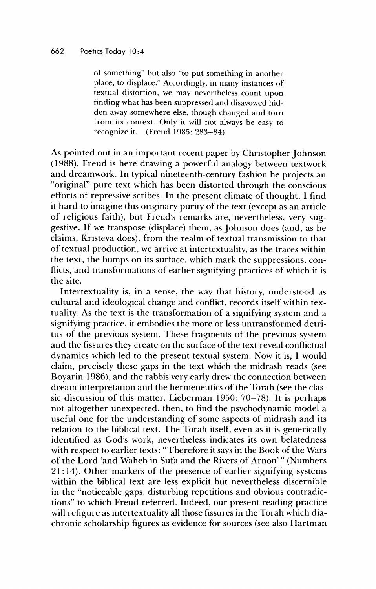**of something" but also "to put something in another place, to displace." Accordingly, in many instances of textual distortion, we may nevertheless count upon finding what has been suppressed and disavowed hidden away somewhere else, though changed and torn from its context. Only it will not always be easy to recognize it. (Freud 1985: 283-84)** 

**As pointed out in an important recent paper by Christopher Johnson (1988), Freud is here drawing a powerful analogy between textwork and dreamwork. In typical nineteenth-century fashion he projects an "original" pure text which has been distorted through the conscious efforts of repressive scribes. In the present climate of thought, I find it hard to imagine this originary purity of the text (except as an article of religious faith), but Freud's remarks are, nevertheless, very suggestive. If we transpose (displace) them, as Johnson does (and, as he claims, Kristeva does), from the realm of textual transmission to that of textual production, we arrive at intertextuality, as the traces within the text, the bumps on its surface, which mark the suppressions, conflicts, and transformations of earlier signifying practices of which it is the site.** 

**Intertextuality is, in a sense, the way that history, understood as cultural and ideological change and conflict, records itself within textuality. As the text is the transformation of a signifying system and a signifying practice, it embodies the more or less untransformed detritus of the previous system. These fragments of the previous system and the fissures they create on the surface of the text reveal conflictual dynamics which led to the present textual system. Now it is, I would claim, precisely these gaps in the text which the midrash reads (see Boyarin 1986), and the rabbis very early drew the connection between dream interpretation and the hermeneutics of the Torah (see the classic discussion of this matter, Lieberman 1950: 70-78). It is perhaps not altogether unexpected, then, to find the psychodynamic model a useful one for the understanding of some aspects of midrash and its relation to the biblical text. The Torah itself, even as it is generically identified as God's work, nevertheless indicates its own belatedness with respect to earlier texts: "Therefore it says in the Book of the Wars of the Lord 'and Waheb in Sufa and the Rivers of Arnon'" (Numbers 21:14). Other markers of the presence of earlier signifying systems within the biblical text are less explicit but nevertheless discernible in the "noticeable gaps, disturbing repetitions and obvious contradictions" to which Freud referred. Indeed, our present reading practice will refigure as intertextuality all those fissures in the Torah which diachronic scholarship figures as evidence for sources (see also Hartman**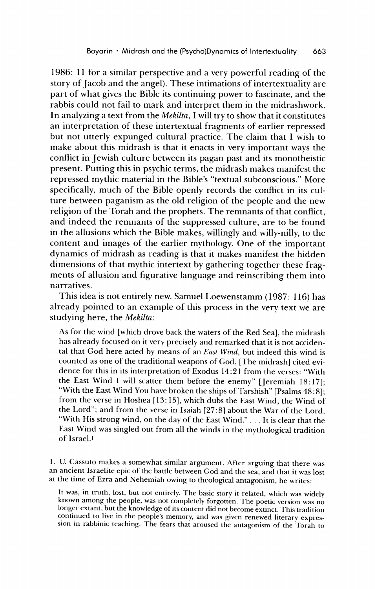**1986: 11 for a similar perspective and a very powerful reading of the story of Jacob and the angel). These intimations of intertextuality are part of what gives the Bible its continuing power to fascinate, and the rabbis could not fail to mark and interpret them in the midrashwork. In analyzing a text from the Mekilta, I will try to show that it constitutes an interpretation of these intertextual fragments of earlier repressed but not utterly expunged cultural practice. The claim that I wish to make about this midrash is that it enacts in very important ways the conflict in Jewish culture between its pagan past and its monotheistic present. Putting this in psychic terms, the midrash makes manifest the repressed mythic material in the Bible's "textual subconscious." More specifically, much of the Bible openly records the conflict in its culture between paganism as the old religion of the people and the new religion of the Torah and the prophets. The remnants of that conflict, and indeed the remnants of the suppressed culture, are to be found in the allusions which the Bible makes, willingly and willy-nilly, to the content and images of the earlier mythology. One of the important dynamics of midrash as reading is that it makes manifest the hidden dimensions of that mythic intertext by gathering together these fragments of allusion and figurative language and reinscribing them into narratives.** 

**This idea is not entirely new. Samuel Loewenstamm (1987: 116) has already pointed to an example of this process in the very text we are studying here, the Mekilta:** 

**As for the wind [which drove back the waters of the Red Sea], the midrash has already focused on it very precisely and remarked that it is not accidental that God here acted by means of an East Wind, but indeed this wind is counted as one of the traditional weapons of God. [The midrash] cited evidence for this in its interpretation of Exodus 14:21 from the verses: "With the East Wind I will scatter them before the enemy" [Jeremiah 18:17]; "With the East Wind You have broken the ships of Tarshish" [Psalms 48:8]; from the verse in Hoshea [13:15], which dubs the East Wind, the Wind of the Lord"; and from the verse in Isaiah [27:8] about the War of the Lord, "With His strong wind, on the day of the East Wind." ... It is clear that the East Wind was singled out from all the winds in the mythological tradition of Israel.1** 

**1. U. Cassuto makes a somewhat similar argument. After arguing that there was an ancient Israelite epic of the battle between God and the sea, and that it was lost at the time of Ezra and Nehemiah owing to theological antagonism, he writes:** 

**It was, in truth, lost, but not entirely. The basic story it related, which was widely known among the people, was not completely forgotten. The poetic version was no longer extant, but the knowledge of its content did not become extinct. This tradition**  sion in rabbinic teaching. The fears that aroused the antagonism of the Torah to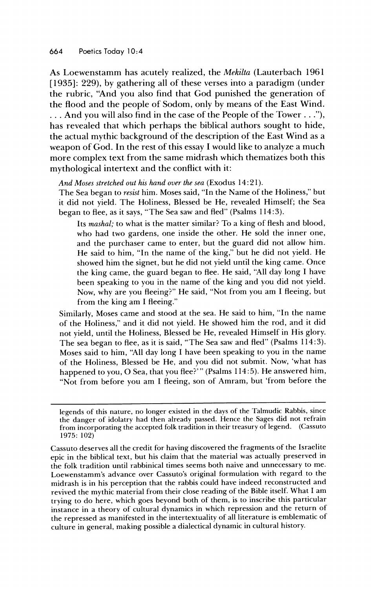**As Loewenstamm has acutely realized, the Mekilta (Lauterbach 1961 [1935]: 229), by gathering all of these verses into a paradigm (under the rubric, "And you also find that God punished the generation of the flood and the people of Sodom, only by means of the East Wind. ... And you will also find in the case of the People of the Tower .. ."), has revealed that which perhaps the biblical authors sought to hide, the actual mythic background of the description of the East Wind as a weapon of God. In the rest of this essay I would like to analyze a much more complex text from the same midrash which thematizes both this mythological intertext and the conflict with it:** 

## **And Moses stretched out his hand over the sea (Exodus 14:21).**

**The Sea began to resist him. Moses said, "In the Name of the Holiness," but it did not yield. The Holiness, Blessed be He, revealed Himself; the Sea began to flee, as it says, "The Sea saw and fled" (Psalms 114:3).** 

**Its mashal; to what is the matter similar? To a king of flesh and blood, who had two gardens, one inside the other. He sold the inner one, and the purchaser came to enter, but the guard did not allow him. He said to him, "In the name of the king," but he did not yield. He showed him the signet, but he did not yield until the king came. Once the king came, the guard began to flee. He said, "All day long I have been speaking to you in the name of the king and you did not yield. Now, why are you fleeing?" He said, "Not from you am I fleeing, but from the king am I fleeing."** 

**Similarly, Moses came and stood at the sea. He said to him, "In the name of the Holiness," and it did not yield. He showed him the rod, and it did not yield, until the Holiness, Blessed be He, revealed Himself in His glory.**  The sea began to flee, as it is said, "The Sea saw and fled" (Psalms 114:3). **Moses said to him, "All day long I have been speaking to you in the name of the Holiness, Blessed be He, and you did not submit. Now, 'what has happened to you, O Sea, that you flee?'" (Psalms 114:5). He answered him, "Not from before you am I fleeing, son of Amram, but 'from before the** 

**legends of this nature, no longer existed in the days of the Talmudic Rabbis, since the danger of idolatry had then already passed. Hence the Sages did not refrain from incorporating the accepted folk tradition in their treasury of legend. (Cassuto 1975: 102)** 

**Cassuto deserves all the credit for having discovered the fragments of the Israelite epic in the biblical text, but his claim that the material was actually preserved in the folk tradition until rabbinical times seems both naive and unnecessary to me. Loewenstamm's advance over Cassuto's original formulation with regard to the midrash is in his perception that the rabbis could have indeed reconstructed and revived the mythic material from their close reading of the Bible itself. What I am trying to do here, which goes beyond both of them, is to inscribe this particular instance in a theory of cultural dynamics in which repression and the return of the repressed as manifested in the intertextuality of all literature is emblematic of culture in general, making possible a dialectical dynamic in cultural history.**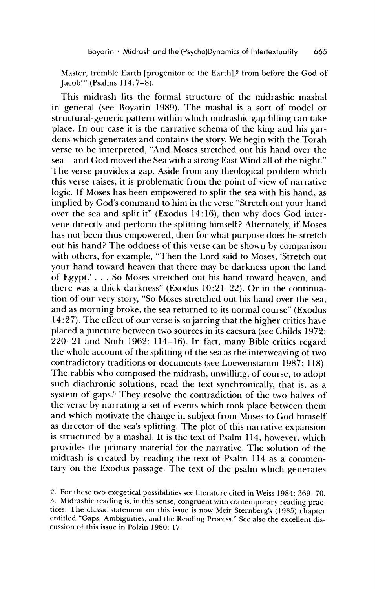**Master, tremble Earth [progenitor of the Earth],2 from before the God of Jacob'" (Psalms 114:7-8).** 

**This midrash fits the formal structure of the midrashic mashal in general (see Boyarin 1989). The mashal is a sort of model or structural-generic pattern within which midrashic gap filling can take place. In our case it is the narrative schema of the king and his gardens which generates and contains the story. We begin with the Torah verse to be interpreted, "And Moses stretched out his hand over the**  sea—and God moved the Sea with a strong East Wind all of the night." **The verse provides a gap. Aside from any theological problem which this verse raises, it is problematic from the point of view of narrative logic. If Moses has been empowered to split the sea with his hand, as implied by God's command to him in the verse "Stretch out your hand over the sea and split it" (Exodus 14:16), then why does God intervene directly and perform the splitting himself? Alternately, if Moses has not been thus empowered, then for what purpose does he stretch out his hand? The oddness of this verse can be shown by comparison with others, for example, "Then the Lord said to Moses, 'Stretch out your hand toward heaven that there may be darkness upon the land of Egypt.' . . . So Moses stretched out his hand toward heaven, and there was a thick darkness" (Exodus 10:21-22). Or in the continuation of our very story, "So Moses stretched out his hand over the sea, and as morning broke, the sea returned to its normal course" (Exodus 14:27). The effect of our verse is so jarring that the higher critics have placed a juncture between two sources in its caesura (see Childs 1972: 220-21 and Noth 1962: 114-16). In fact, many Bible critics regard the whole account of the splitting of the sea as the interweaving of two contradictory traditions or documents (see Loewenstamm 1987: 118). The rabbis who composed the midrash, unwilling, of course, to adopt such diachronic solutions, read the text synchronically, that is, as a system of gaps.3 They resolve the contradiction of the two halves of the verse by narrating a set of events which took place between them and which motivate the change in subject from Moses to God himself as director of the sea's splitting. The plot of this narrative expansion is structured by a mashal. It is the text of Psalm 114, however, which provides the primary material for the narrative. The solution of the midrash is created by reading the text of Psalm 114 as a commentary on the Exodus passage. The text of the psalm which generates** 

**<sup>2.</sup> For these two exegetical possibilities see literature cited in Weiss 1984: 369-70. 3. Midrashic reading is, in this sense, congruent with contemporary reading practices. The classic statement on this issue is now Meir Sternberg's (1985) chapter entitled "Gaps, Ambiguities, and the Reading Process." See also the excellent discussion of this issue in Polzin 1980: 17.**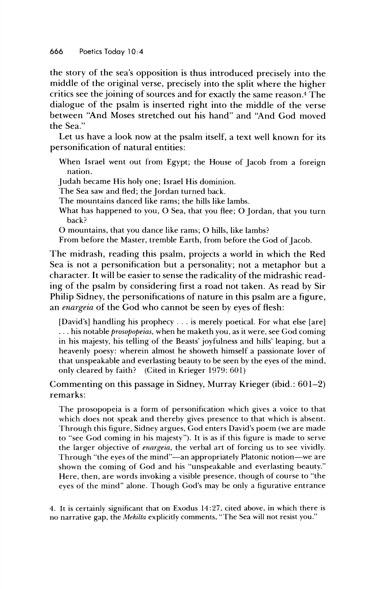**the story of the sea's opposition is thus introduced precisely into the middle of the original verse, precisely into the split where the higher critics see the joining of sources and for exactly the same reason.4 The dialogue of the psalm is inserted right into the middle of the verse between "And Moses stretched out his hand" and "And God moved the Sea."** 

**Let us have a look now at the psalm itself, a text well known for its personification of natural entities:** 

- **When Israel went out from Egypt; the House of Jacob from a foreign nation.**
- **Judah became His holy one; Israel His dominion.**
- **The Sea saw and fled; the Jordan turned back.**
- **The mountains danced like rams; the hills like lambs.**
- **What has happened to you, O Sea, that you flee; 0 Jordan, that you turn back?**
- **O mountains, that you dance like rams; O hills, like lambs?**
- **From before the Master, tremble Earth, from before the God of Jacob.**

**The midrash, reading this psalm, projects a world in which the Red Sea is not a personification but a personality; not a metaphor but a character. It will be easier to sense the radicality of the midrashic reading of the psalm by considering first a road not taken. As read by Sir Philip Sidney, the personifications of nature in this psalm are a figure, an enargeia of the God who cannot be seen by eyes of flesh:** 

**[David's] handling his prophecy ... is merely poetical. For what else [are] ... his notable prosopopeias, when he maketh you, as it were, see God coming in his majesty, his telling of the Beasts' joyfulness and hills' leaping, but a heavenly poesy: wherein almost he showeth himself a passionate lover of that unspeakable and everlasting beauty to be seen by the eyes of the mind, only cleared by faith? (Cited in Krieger 1979: 601)** 

**Commenting on this passage in Sidney, Murray Krieger (ibid.: 601-2) remarks:** 

**The prosopopeia is a form of personification which gives a voice to that which does not speak and thereby gives presence to that which is absent. Through this figure, Sidney argues, God enters David's poem (we are made to "see God coming in his majesty"). It is as if this figure is made to serve the larger objective of enargeia, the verbal art of forcing us to see vividly.**  Through "the eyes of the mind"-an appropriately Platonic notion-we are **shown the coming of God and his "unspeakable and everlasting beauty." Here, then, are words invoking a visible presence, though of course to "the eyes of the mind" alone. Though God's may be only a figurative entrance** 

**4. It is certainly significant that on Exodus 14:27, cited above, in which there is no narrative gap, the Mekilta explicitly comments, "The Sea will not resist you."**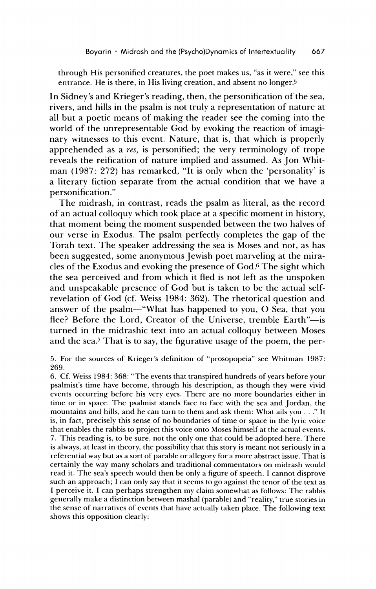**through His personified creatures, the poet makes us, "as it were," see this entrance. He is there, in His living creation, and absent no longer.5** 

**In Sidney's and Krieger's reading, then, the personification of the sea, rivers, and hills in the psalm is not truly a representation of nature at all but a poetic means of making the reader see the coming into the world of the unrepresentable God by evoking the reaction of imaginary witnesses to this event. Nature, that is, that which is properly apprehended as a res, is personified; the very terminology of trope reveals the reification of nature implied and assumed. As Jon Whitman (1987: 272) has remarked, "It is only when the 'personality' is a literary fiction separate from the actual condition that we have a personification."** 

**The midrash, in contrast, reads the psalm as literal, as the record of an actual colloquy which took place at a specific moment in history, that moment being the moment suspended between the two halves of our verse in Exodus. The psalm perfectly completes the gap of the Torah text. The speaker addressing the sea is Moses and not, as has been suggested, some anonymous Jewish poet marveling at the miracles of the Exodus and evoking the presence of God.6 The sight which the sea perceived and from which it fled is not left as the unspoken and unspeakable presence of God but is taken to be the actual selfrevelation of God (cf. Weiss 1984: 362). The rhetorical question and answer of the psalm-"What has happened to you, O Sea, that you flee? Before the Lord, Creator of the Universe, tremble Earth"-is turned in the midrashic text into an actual colloquy between Moses and the sea.7 That is to say, the figurative usage of the poem, the per-**

**<sup>5.</sup> For the sources of Krieger's definition of "prosopopeia" see Whitman 1987: 269.** 

**<sup>6.</sup> Cf. Weiss 1984: 368: "The events that transpired hundreds of years before your psalmist's time have become, through his description, as though they were vivid events occurring before his very eyes. There are no more boundaries either in time or in space. The psalmist stands face to face with the sea and Jordan, the mountains and hills, and he can turn to them and ask them: What ails you . .." It is, in fact, precisely this sense of no boundaries of time or space in the lyric voice that enables the rabbis to project this voice onto Moses himself at the actual events. 7. This reading is, to be sure, not the only one that could be adopted here. There is always, at least in theory, the possibility that this story is meant not seriously in a referential way but as a sort of parable or allegory for a more abstract issue. That is certainly the way many scholars and traditional commentators on midrash would read it. The sea's speech would then be only a figure of speech. I cannot disprove such an approach; I can only say that it seems to go against the tenor of the text as I perceive it. I can perhaps strengthen my claim somewhat as follows: The rabbis generally make a distinction between mashal (parable) and "reality," true stories in the sense of narratives of events that have actually taken place. The following text shows this opposition clearly:**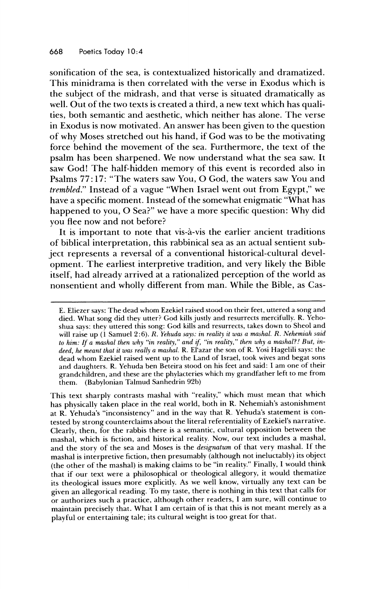**sonification of the sea, is contextualized historically and dramatized. This minidrama is then correlated with the verse in Exodus which is the subject of the midrash, and that verse is situated dramatically as well. Out of the two texts is created a third, a new text which has qualities, both semantic and aesthetic, which neither has alone. The verse in Exodus is now motivated. An answer has been given to the question of why Moses stretched out his hand, if God was to be the motivating force behind the movement of the sea. Furthermore, the text of the psalm has been sharpened. We now understand what the sea saw. It saw God! The half-hidden memory of this event is recorded also in Psalms 77:17: "The waters saw You, O God, the waters saw You and trembled." Instead of a vague "When Israel went out from Egypt," we have a specific moment. Instead of the somewhat enigmatic "What has happened to you, O Sea?" we have a more specific question: Why did you flee now and not before?** 

**It is important to note that vis-a-vis the earlier ancient traditions of biblical interpretation, this rabbinical sea as an actual sentient subject represents a reversal of a conventional historical-cultural development. The earliest interpretive tradition, and very likely the Bible itself, had already arrived at a rationalized perception of the world as nonsentient and wholly different from man. While the Bible, as Cas-**

**This text sharply contrasts mashal with "reality," which must mean that which has physically taken place in the real world, both in R. Nehemiah's astonishment at R. Yehuda's "inconsistency" and in the way that R. Yehuda's statement is contested by strong counterclaims about the literal referentiality of Ezekiel's narrative. Clearly, then, for the rabbis there is a semantic, cultural opposition between the mashal, which is fiction, and historical reality. Now, our text includes a mashal, and the story of the sea and Moses is the designatum of that very mashal. If the mashal is interpretive fiction, then presumably (although not ineluctably) its object (the other of the mashal) is making claims to be "in reality." Finally, I would think that if our text were a philosophical or theological allegory, it would thematize its theological issues more explicitly. As we well know, virtually any text can be given an allegorical reading. To my taste, there is nothing in this text that calls for or authorizes such a practice, although other readers, I am sure, will continue to maintain precisely that. What I am certain of is that this is not meant merely as a playful or entertaining tale; its cultural weight is too great for that.** 

**E. Eliezer says: The dead whom Ezekiel raised stood on their feet, uttered a song and died. What song did they utter? God kills justly and resurrects mercifully. R. Yehoshua says: they uttered this song: God kills and resurrects, takes down to Sheol and will raise up (1 Samuel 2:6). R. Yehuda says: in reality it was a mashal. R. Nehemiah said**  to him: If a mashal then why "in reality," and if, "in reality," then why a mashal?! But, in**deed, he meant that it was really a mashal. R. El'azar the son of R. Yosi Hagelili says: the dead whom Ezekiel raised went up to the Land of Israel, took wives and begat sons and daughters. R. Yehuda ben Beteira stood on his feet and said: I am one of their grandchildren, and these are the phylacteries which my grandfather left to me from them. (Babylonian Talmud Sanhedrin 92b)**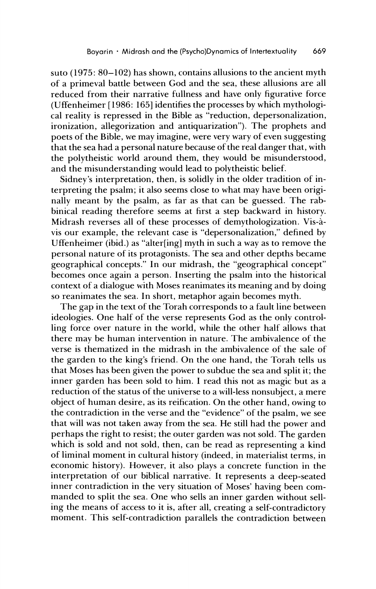**suto (1975: 80-102) has shown, contains allusions to the ancient myth of a primeval battle between God and the sea, these allusions are all reduced from their narrative fullness and have only figurative force (Uffenheimer [1986: 165] identifies the processes by which mythological reality is repressed in the Bible as "reduction, depersonalization, ironization, allegorization and antiquarization"). The prophets and poets of the Bible, we may imagine, were very wary of even suggesting that the sea had a personal nature because of the real danger that, with the polytheistic world around them, they would be misunderstood, and the misunderstanding would lead to polytheistic belief.** 

**Sidney's interpretation, then, is solidly in the older tradition of interpreting the psalm; it also seems close to what may have been originally meant by the psalm, as far as that can be guessed. The rabbinical reading therefore seems at first a step backward in history. Midrash reverses all of these processes of demythologization. Vis-avis our example, the relevant case is "depersonalization," defined by Uffenheimer (ibid.) as "alter[ing] myth in such a way as to remove the personal nature of its protagonists. The sea and other depths became geographical concepts." In our midrash, the "geographical concept" becomes once again a person. Inserting the psalm into the historical context of a dialogue with Moses reanimates its meaning and by doing so reanimates the sea. In short, metaphor again becomes myth.** 

**The gap in the text of the Torah corresponds to a fault line between ideologies. One half of the verse represents God as the only controlling force over nature in the world, while the other half allows that there may be human intervention in nature. The ambivalence of the verse is thematized in the midrash in the ambivalence of the sale of the garden to the king's friend. On the one hand, the Torah tells us that Moses has been given the power to subdue the sea and split it; the inner garden has been sold to him. I read this not as magic but as a reduction of the status of the universe to a will-less nonsubject, a mere object of human desire, as its reification. On the other hand, owing to the contradiction in the verse and the "evidence" of the psalm, we see that will was not taken away from the sea. He still had the power and perhaps the right to resist; the outer garden was not sold. The garden which is sold and not sold, then, can be read as representing a kind of liminal moment in cultural history (indeed, in materialist terms, in economic history). However, it also plays a concrete function in the interpretation of our biblical narrative. It represents a deep-seated inner contradiction in the very situation of Moses' having been commanded to split the sea. One who sells an inner garden without selling the means of access to it is, after all, creating a self-contradictory moment. This self-contradiction parallels the contradiction between**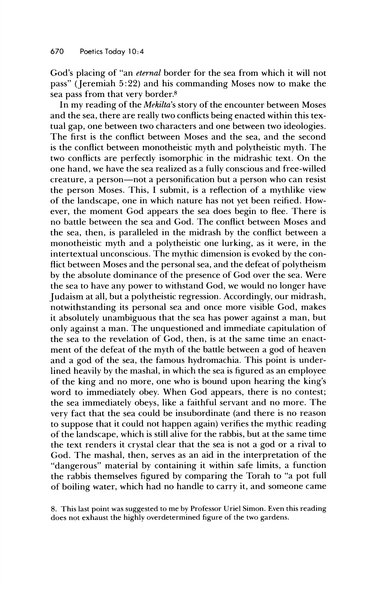**God's placing of "an eternal border for the sea from which it will not pass" (Jeremiah 5:22) and his commanding Moses now to make the sea pass from that very border.8** 

**In my reading of the Mekilta's story of the encounter between Moses and the sea, there are really two conflicts being enacted within this textual gap, one between two characters and one between two ideologies. The first is the conflict between Moses and the sea, and the second is the conflict between monotheistic myth and polytheistic myth. The two conflicts are perfectly isomorphic in the midrashic text. On the one hand, we have the sea realized as a fully conscious and free-willed creature, a person-not a personification but a person who can resist the person Moses. This, I submit, is a reflection of a mythlike view of the landscape, one in which nature has not yet been reified. However, the moment God appears the sea does begin to flee. There is no battle between the sea and God. The conflict between Moses and the sea, then, is paralleled in the midrash by the conflict between a monotheistic myth and a polytheistic one lurking, as it were, in the intertextual unconscious. The mythic dimension is evoked by the conflict between Moses and the personal sea, and the defeat of polytheism by the absolute dominance of the presence of God over the sea. Were the sea to have any power to withstand God, we would no longer have Judaism at all, but a polytheistic regression. Accordingly, our midrash, notwithstanding its personal sea and once more visible God, makes it absolutely unambiguous that the sea has power against a man, but only against a man. The unquestioned and immediate capitulation of the sea to the revelation of God, then, is at the same time an enactment of the defeat of the myth of the battle between a god of heaven and a god of the sea, the famous hydromachia. This point is underlined heavily by the mashal, in which the sea is figured as an employee of the king and no more, one who is bound upon hearing the king's word to immediately obey. When God appears, there is no contest; the sea immediately obeys, like a faithful servant and no more. The very fact that the sea could be insubordinate (and there is no reason to suppose that it could not happen again) verifies the mythic reading of the landscape, which is still alive for the rabbis, but at the same time the text renders it crystal clear that the sea is not a god or a rival to God. The mashal, then, serves as an aid in the interpretation of the "dangerous" material by containing it within safe limits, a function the rabbis themselves figured by comparing the Torah to "a pot full of boiling water, which had no handle to carry it, and someone came** 

**8. This last point was suggested to me by Professor Uriel Simon. Even this reading does not exhaust the highly overdetermined figure of the two gardens.**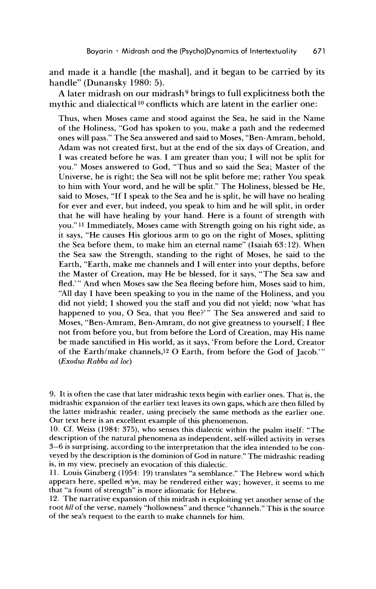**and made it a handle [the mashal], and it began to be carried by its handle" (Dunansky 1980: 5).** 

**A later midrash on our midrash9 brings to full explicitness both the**  mythic and dialectical<sup>10</sup> conflicts which are latent in the earlier one:

**Thus, when Moses came and stood against the Sea, he said in the Name of the Holiness, "God has spoken to you, make a path and the redeemed ones will pass." The Sea answered and said to Moses, "Ben-Amram, behold, Adam was not created first, but at the end of the six days of Creation, and I was created before he was. I am greater than you; I will not be split for you." Moses answered to God, "Thus and so said the Sea; Master of the Universe, he is right; the Sea will not be split before me; rather You speak to him with Your word, and he will be split." The Holiness, blessed be He, said to Moses, "If I speak to the Sea and he is split, he will have no healing for ever and ever, but indeed, you speak to him and he will split, in order that he will have healing by your hand. Here is a fount of strength with**  you."<sup>11</sup> Immediately, Moses came with Strength going on his right side, as **it says, "He causes His glorious arm to go on the right of Moses, splitting the Sea before them, to make him an eternal name" (Isaiah 63:12). When the Sea saw the Strength, standing to the right of Moses, he said to the Earth, "Earth, make me channels and I will enter into your depths, before the Master of Creation, may He be blessed, for it says, "The Sea saw and fled.'" And when Moses saw the Sea fleeing before him, Moses said to him, "All day I have been speaking to you in the name of the Holiness, and you did not yield; I showed you the staff and you did not yield; now 'what has happened to you, O Sea, that you flee?'" The Sea answered and said to Moses, "Ben-Amram, Ben-Amram, do not give greatness to yourself; I flee not from before you, but from before the Lord of Creation, may His name be made sanctified in His world, as it says, 'From before the Lord, Creator of the Earth/make channels,12 0 Earth, from before the God of Jacob.'" (Exodus Rabba ad loc)** 

**9. It is often the case that later midrashic texts begin with earlier ones. That is, the midrashic expansion of the earlier text leaves its own gaps, which are then filled by the latter midrashic reader, using precisely the same methods as the earlier one. Our text here is an excellent example of this phenomenon.** 

**10. Cf. Weiss (1984: 375), who senses this dialectic within the psalm itself: "The description of the natural phenomena as independent, self-willed activity in verses 3-6 is surprising, according to the interpretation that the idea intended to be conveyed by the description is the dominion of God in nature." The midrashic reading is, in my view, precisely an evocation of this dialectic.** 

**11. Louis Ginzberg (1954: 19) translates "a semblance." The Hebrew word which appears here, spelled m'yn, may be rendered either way; however, it seems to me that "a fount of strength" is more idiomatic for Hebrew.** 

**12. The narrative expansion of this midrash is exploiting yet another sense of the root hll of the verse, namely "hollowness" and thence "channels." This is the source of the sea's request to the earth to make channels for him.**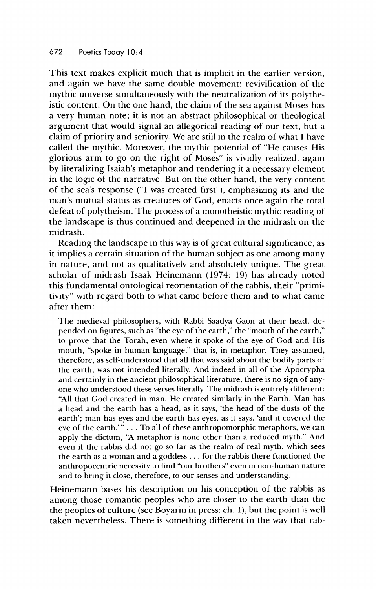**This text makes explicit much that is implicit in the earlier version, and again we have the same double movement: revivification of the mythic universe simultaneously with the neutralization of its polytheistic content. On the one hand, the claim of the sea against Moses has a very human note; it is not an abstract philosophical or theological argument that would signal an allegorical reading of our text, but a claim of priority and seniority. We are still in the realm of what I have called the mythic. Moreover, the mythic potential of "He causes His glorious arm to go on the right of Moses" is vividly realized, again by literalizing Isaiah's metaphor and rendering it a necessary element in the logic of the narrative. But on the other hand, the very content of the sea's response ("I was created first"), emphasizing its and the man's mutual status as creatures of God, enacts once again the total defeat of polytheism. The process of a monotheistic mythic reading of the landscape is thus continued and deepened in the midrash on the midrash.** 

**Reading the landscape in this way is of great cultural significance, as it implies a certain situation of the human subject as one among many in nature, and not as qualitatively and absolutely unique. The great scholar of midrash Isaak Heinemann (1974: 19) has already noted this fundamental ontological reorientation of the rabbis, their "primitivity" with regard both to what came before them and to what came after them:** 

**The medieval philosophers, with Rabbi Saadya Gaon at their head, depended on figures, such as "the eye of the earth," the "mouth of the earth," to prove that the Torah, even where it spoke of the eye of God and His mouth, "spoke in human language," that is, in metaphor. They assumed, therefore, as self-understood that all that was said about the bodily parts of the earth, was not intended literally. And indeed in all of the Apocrypha and certainly in the ancient philosophical literature, there is no sign of anyone who understood these verses literally. The midrash is entirely different: "All that God created in man, He created similarly in the Earth. Man has a head and the earth has a head, as it says, 'the head of the dusts of the earth'; man has eyes and the earth has eyes, as it says, 'and it covered the eye of the earth.'"... To all of these anthropomorphic metaphors, we can apply the dictum, "A metaphor is none other than a reduced myth." And even if the rabbis did not go so far as the realm of real myth, which sees the earth as a woman and a goddess ... for the rabbis there functioned the anthropocentric necessity to find "our brothers" even in non-human nature and to bring it close, therefore, to our senses and understanding.** 

**Heinemann bases his description on his conception of the rabbis as among those romantic peoples who are closer to the earth than the the peoples of culture (see Boyarin in press: ch. 1), but the point is well taken nevertheless. There is something different in the way that rab-**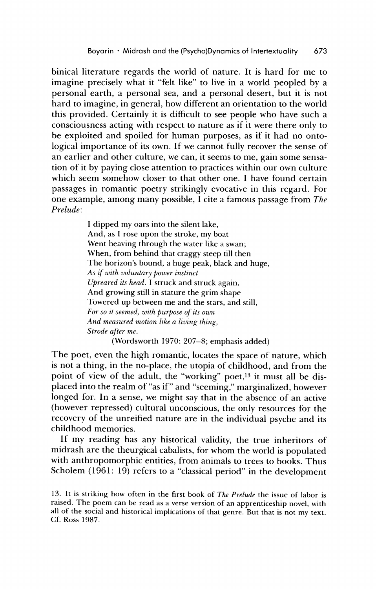**binical literature regards the world of nature. It is hard for me to imagine precisely what it "felt like" to live in a world peopled by a personal earth, a personal sea, and a personal desert, but it is not hard to imagine, in general, how different an orientation to the world this provided. Certainly it is difficult to see people who have such a consciousness acting with respect to nature as if it were there only to be exploited and spoiled for human purposes, as if it had no ontological importance of its own. If we cannot fully recover the sense of an earlier and other culture, we can, it seems to me, gain some sensation of it by paying close attention to practices within our own culture which seem somehow closer to that other one. I have found certain passages in romantic poetry strikingly evocative in this regard. For one example, among many possible, I cite a famous passage from The Prelude:** 

> **I dipped my oars into the silent lake, And, as I rose upon the stroke, my boat Went heaving through the water like a swan; When, from behind that craggy steep till then The horizon's bound, a huge peak, black and huge, As if with voluntary power instinct Upreared its head. I struck and struck again, And growing still in stature the grim shape Towered up between me and the stars, and still, For so it seemed, with purpose of its own And measured motion like a living thing, Strode after me. (Wordsworth 1970: 207-8; emphasis added)**

**The poet, even the high romantic, locates the space of nature, which is not a thing, in the no-place, the utopia of childhood, and from the**  point of view of the adult, the "working" poet,<sup>13</sup> it must all be dis**placed into the realm of "as if" and "seeming," marginalized, however longed for. In a sense, we might say that in the absence of an active (however repressed) cultural unconscious, the only resources for the recovery of the unreified nature are in the individual psyche and its childhood memories.** 

**If my reading has any historical validity, the true inheritors of midrash are the theurgical cabalists, for whom the world is populated with anthropomorphic entities, from animals to trees to books. Thus Scholem (1961: 19) refers to a "classical period" in the development** 

**<sup>13.</sup> It is striking how often in the first book of The Prelude the issue of labor is raised. The poem can be read as a verse version of an apprenticeship novel, with all of the social and historical implications of that genre. But that is not my text. Cf. Ross 1987.**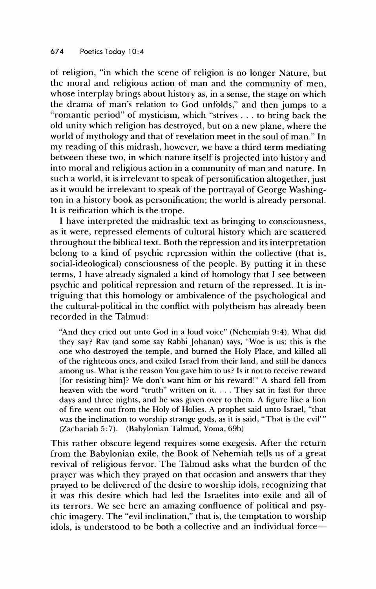**of religion, "in which the scene of religion is no longer Nature, but the moral and religious action of man and the community of men, whose interplay brings about history as, in a sense, the stage on which the drama of man's relation to God unfolds," and then jumps to a "romantic period" of mysticism, which "strives ... to bring back the old unity which religion has destroyed, but on a new plane, where the world of mythology and that of revelation meet in the soul of man." In my reading of this midrash, however, we have a third term mediating between these two, in which nature itself is projected into history and into moral and religious action in a community of man and nature. In such a world, it is irrelevant to speak of personification altogether, just as it would be irrelevant to speak of the portrayal of George Washington in a history book as personification; the world is already personal. It is reification which is the trope.** 

**I have interpreted the midrashic text as bringing to consciousness, as it were, repressed elements of cultural history which are scattered throughout the biblical text. Both the repression and its interpretation belong to a kind of psychic repression within the collective (that is, social-ideological) consciousness of the people. By putting it in these terms, I have already signaled a kind of homology that I see between psychic and political repression and return of the repressed. It is intriguing that this homology or ambivalence of the psychological and the cultural-political in the conflict with polytheism has already been recorded in the Talmud:** 

**"And they cried out unto God in a loud voice" (Nehemiah 9:4). What did they say? Rav (and some say Rabbi Johanan) says, "Woe is us; this is the one who destroyed the temple, and burned the Holy Place, and killed all of the righteous ones, and exiled Israel from their land, and still he dances among us. What is the reason You gave him to us? Is it not to receive reward [for resisting him]? We don't want him or his reward!" A shard fell from heaven with the word "truth" written on it.... They sat in fast for three days and three nights, and he was given over to them. A figure like a lion of fire went out from the Holy of Holies. A prophet said unto Israel, "that was the inclination to worship strange gods, as it is said, "That is the evil'" (Zachariah 5:7). (Babylonian Talmud, Yoma, 69b)** 

**This rather obscure legend requires some exegesis. After the return from the Babylonian exile, the Book of Nehemiah tells us of a great revival of religious fervor. The Talmud asks what the burden of the prayer was which they prayed on that occasion and answers that they prayed to be delivered of the desire to worship idols, recognizing that it was this desire which had led the Israelites into exile and all of its terrors. We see here an amazing confluence of political and psychic imagery. The "evil inclination," that is, the temptation to worship idols, is understood to be both a collective and an individual force-**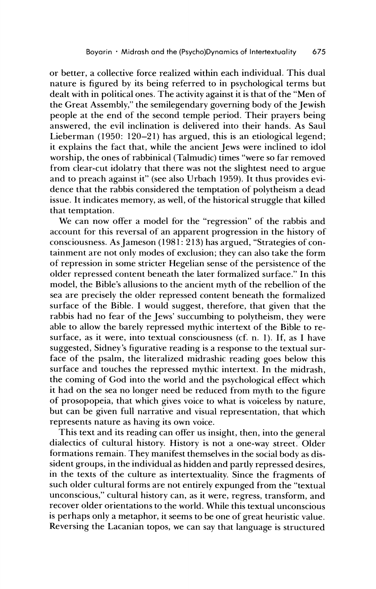**or better, a collective force realized within each individual. This dual nature is figured by its being referred to in psychological terms but dealt with in political ones. The activity against it is that of the "Men of the Great Assembly," the semilegendary governing body of the Jewish people at the end of the second temple period. Their prayers being answered, the evil inclination is delivered into their hands. As Saul Lieberman (1950: 120-21) has argued, this is an etiological legend; it explains the fact that, while the ancient Jews were inclined to idol worship, the ones of rabbinical (Talmudic) times "were so far removed from clear-cut idolatry that there was not the slightest need to argue and to preach against it" (see also Urbach 1959). It thus provides evidence that the rabbis considered the temptation of polytheism a dead issue. It indicates memory, as well, of the historical struggle that killed that temptation.** 

**We can now offer a model for the "regression" of the rabbis and account for this reversal of an apparent progression in the history of consciousness. As Jameson (1981: 213) has argued, "Strategies of containment are not only modes of exclusion; they can also take the form of repression in some stricter Hegelian sense of the persistence of the older repressed content beneath the later formalized surface." In this model, the Bible's allusions to the ancient myth of the rebellion of the sea are precisely the older repressed content beneath the formalized surface of the Bible. I would suggest, therefore, that given that the rabbis had no fear of the Jews' succumbing to polytheism, they were able to allow the barely repressed mythic intertext of the Bible to resurface, as it were, into textual consciousness (cf. n. 1). If, as I have suggested, Sidney's figurative reading is a response to the textual surface of the psalm, the literalized midrashic reading goes below this surface and touches the repressed mythic intertext. In the midrash, the coming of God into the world and the psychological effect which it had on the sea no longer need be reduced from myth to the figure of prosopopeia, that which gives voice to what is voiceless by nature, but can be given full narrative and visual representation, that which represents nature as having its own voice.** 

**This text and its reading can offer us insight, then, into the general dialectics of cultural history. History is not a one-way street. Older formations remain. They manifest themselves in the social body as dissident groups, in the individual as hidden and partly repressed desires, in the texts of the culture as intertextuality. Since the fragments of such older cultural forms are not entirely expunged from the "textual unconscious," cultural history can, as it were, regress, transform, and recover older orientations to the world. While this textual unconscious is perhaps only a metaphor, it seems to be one of great heuristic value. Reversing the Lacanian topos, we can say that language is structured**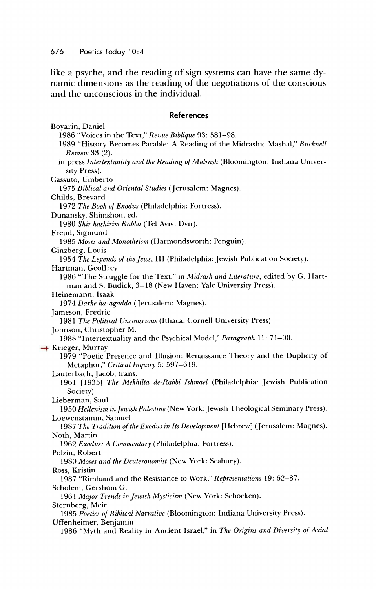۰

**like a psyche, and the reading of sign systems can have the same dynamic dimensions as the reading of the negotiations of the conscious and the unconscious in the individual.** 

## **References**

| Boyarin, Daniel                                                                                           |
|-----------------------------------------------------------------------------------------------------------|
| 1986 "Voices in the Text," Revue Biblique 93: 581-98.                                                     |
| 1989 "History Becomes Parable: A Reading of the Midrashic Mashal," Bucknell                               |
| <i>Review</i> 33 (2).                                                                                     |
| in press Intertextuality and the Reading of Midrash (Bloomington: Indiana Univer-                         |
| sity Press).                                                                                              |
| Cassuto, Umberto                                                                                          |
| 1975 Biblical and Oriental Studies (Jerusalem: Magnes).                                                   |
| Childs, Brevard                                                                                           |
| 1972 The Book of Exodus (Philadelphia: Fortress).                                                         |
| Dunansky, Shimshon, ed.                                                                                   |
| 1980 Shir hashirim Rabba (Tel Aviv: Dvir).                                                                |
| Freud, Sigmund                                                                                            |
| 1985 Moses and Monotheism (Harmondsworth: Penguin).                                                       |
| Ginzberg, Louis                                                                                           |
| 1954 The Legends of the Jews, III (Philadelphia: Jewish Publication Society).                             |
| Hartman, Geoffrey                                                                                         |
| 1986 "The Struggle for the Text," in Midrash and Literature, edited by G. Hart-                           |
| man and S. Budick, 3-18 (New Haven: Yale University Press).                                               |
| Heinemann, Isaak                                                                                          |
| 1974 Darke ha-agadda (Jerusalem: Magnes).                                                                 |
| Jameson, Fredric                                                                                          |
| 1981 The Political Unconscious (Ithaca: Cornell University Press).                                        |
| Johnson, Christopher M.                                                                                   |
| 1988 "Intertextuality and the Psychical Model," Paragraph 11: 71-90.                                      |
| Krieger, Murray                                                                                           |
| 1979 "Poetic Presence and Illusion: Renaissance Theory and the Duplicity of                               |
| Metaphor," Critical Inquiry 5: 597-619.                                                                   |
| Lauterbach, Jacob, trans.                                                                                 |
| 1961 [1935] The Mekhilta de-Rabbi Ishmael (Philadelphia: Jewish Publication                               |
| Society).                                                                                                 |
| Lieberman, Saul<br>1950 Hellenism in Jewish Palestine (New York: Jewish Theological Seminary Press).      |
| Loewenstamm, Samuel                                                                                       |
| 1987 The Tradition of the Exodus in Its Development [Hebrew] (Jerusalem: Magnes).                         |
| Noth, Martin                                                                                              |
| 1962 Exodus: A Commentary (Philadelphia: Fortress).                                                       |
| Polzin, Robert                                                                                            |
| 1980 Moses and the Deuteronomist (New York: Seabury).                                                     |
| Ross, Kristin                                                                                             |
| 1987 "Rimbaud and the Resistance to Work," Representations 19: 62-87.                                     |
| Scholem, Gershom G.                                                                                       |
| 1961 Major Trends in Jewish Mysticism (New York: Schocken).                                               |
| Sternberg, Meir                                                                                           |
| 1985 Poetics of Biblical Narrative (Bloomington: Indiana University Press).                               |
| Uffenheimer, Benjamin<br>1986 "Myth and Reality in Ancient Israel," in The Origins and Diversity of Axial |
|                                                                                                           |